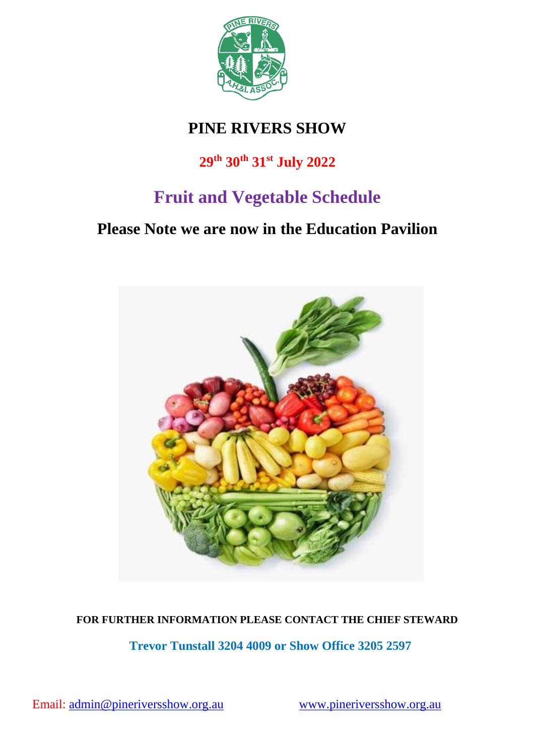

# **PINE RIVERS SHOW**

# **29th 30th 31st July 2022**

# **Fruit and Vegetable Schedule**

# **Please Note we are now in the Education Pavilion**



## **FOR FURTHER INFORMATION PLEASE CONTACT THE CHIEF STEWARD**

**Trevor Tunstall 3204 4009 or Show Office 3205 2597**

Email: [admin@pineriversshow.org.au](mailto:admin@pineriversshow.org.au) [www.pineriversshow.org.au](http://www.pineriversshow.org.au/)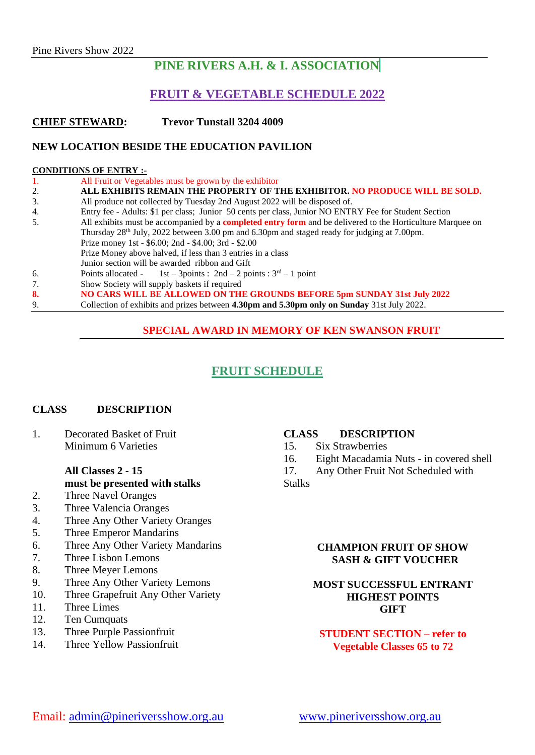# **PINE RIVERS A.H. & I. ASSOCIATION**

### **FRUIT & VEGETABLE SCHEDULE 2022**

**CHIEF STEWARD: Trevor Tunstall 3204 4009**

#### **NEW LOCATION BESIDE THE EDUCATION PAVILION**

#### **CONDITIONS OF ENTRY :-**

| 1. | All Fruit or Vegetables must be grown by the exhibitor                                                            |  |  |
|----|-------------------------------------------------------------------------------------------------------------------|--|--|
| 2. | ALL EXHIBITS REMAIN THE PROPERTY OF THE EXHIBITOR. NO PRODUCE WILL BE SOLD.                                       |  |  |
| 3. | All produce not collected by Tuesday 2nd August 2022 will be disposed of.                                         |  |  |
| 4. | Entry fee - Adults: \$1 per class; Junior 50 cents per class, Junior NO ENTRY Fee for Student Section             |  |  |
| 5. | All exhibits must be accompanied by a <b>completed entry form</b> and be delivered to the Horticulture Marquee on |  |  |
|    | Thursday 28 <sup>th</sup> July, 2022 between 3.00 pm and 6.30pm and staged ready for judging at 7.00pm.           |  |  |
|    | Prize money 1st - \$6.00; 2nd - \$4.00; 3rd - \$2.00                                                              |  |  |
|    | Prize Money above halved, if less than 3 entries in a class                                                       |  |  |
|    | Junior section will be awarded ribbon and Gift                                                                    |  |  |
| 6. | Points allocated - 1st - 3points : $2nd - 2$ points : $3rd - 1$ point                                             |  |  |
| 7. | Show Society will supply baskets if required                                                                      |  |  |
| 8. | NO CARS WILL BE ALLOWED ON THE GROUNDS BEFORE 5pm SUNDAY 31st July 2022                                           |  |  |
| 9. | Collection of exhibits and prizes between 4.30pm and 5.30pm only on Sunday 31st July 2022.                        |  |  |

### **SPECIAL AWARD IN MEMORY OF KEN SWANSON FRUIT**

## **FRUIT SCHEDULE**

#### **CLASS DESCRIPTION**

1. Decorated Basket of Fruit Minimum 6 Varieties

#### **All Classes 2 - 15 must be presented with stalks**

- 2. Three Navel Oranges
- 3. Three Valencia Oranges
- 4. Three Any Other Variety Oranges
- 5. Three Emperor Mandarins
- 6. Three Any Other Variety Mandarins
- 7. Three Lisbon Lemons
- 8. Three Meyer Lemons
- 9. Three Any Other Variety Lemons
- 10. Three Grapefruit Any Other Variety
- 11. Three Limes
- 12. Ten Cumquats
- 13. Three Purple Passionfruit
- 14. Three Yellow Passionfruit

#### **CLASS DESCRIPTION**

15. Six Strawberries

16. Eight Macadamia Nuts - in covered shell

17. Any Other Fruit Not Scheduled with **Stalks** 

#### **CHAMPION FRUIT OF SHOW SASH & GIFT VOUCHER**

#### **MOST SUCCESSFUL ENTRANT HIGHEST POINTS GIFT**

### **STUDENT SECTION – refer to Vegetable Classes 65 to 72**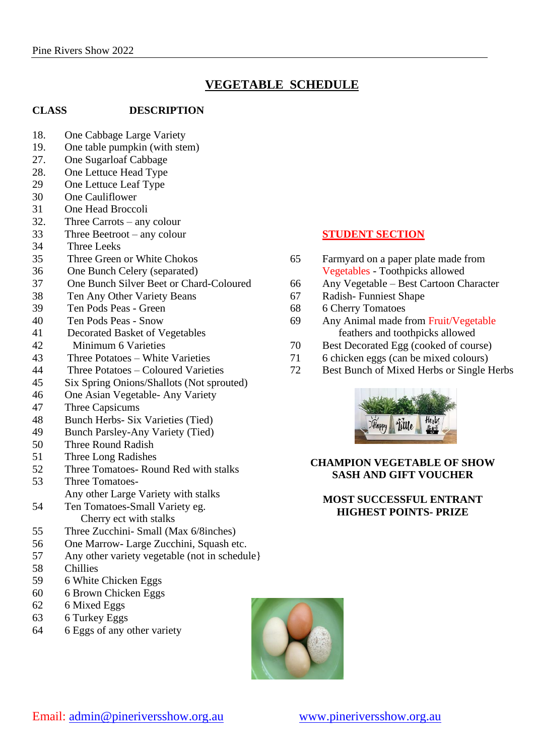# **VEGETABLE SCHEDULE**

#### **CLASS DESCRIPTION**

- 18. One Cabbage Large Variety
- 19. One table pumpkin (with stem)
- 27. One Sugarloaf Cabbage
- 28. One Lettuce Head Type
- 29 One Lettuce Leaf Type
- 30 One Cauliflower
- 31 One Head Broccoli
- 32. Three Carrots any colour
- 33 Three Beetroot any colour
- 34 Three Leeks
- 35 Three Green or White Chokos
- 36 One Bunch Celery (separated)
- 37 One Bunch Silver Beet or Chard-Coloured
- 38 Ten Any Other Variety Beans
- 39 Ten Pods Peas Green
- 40 Ten Pods Peas Snow
- 41 Decorated Basket of Vegetables
- 42 Minimum 6 Varieties
- 43 Three Potatoes White Varieties
- 44 Three Potatoes Coloured Varieties
- 45 Six Spring Onions/Shallots (Not sprouted)
- 46 One Asian Vegetable- Any Variety
- 47 Three Capsicums
- 48 Bunch Herbs- Six Varieties (Tied)
- 49 Bunch Parsley-Any Variety (Tied)
- 50 Three Round Radish
- 51 Three Long Radishes
- 52 Three Tomatoes- Round Red with stalks
- 53 Three Tomatoes-Any other Large Variety with stalks
- 54 Ten Tomatoes-Small Variety eg. Cherry ect with stalks
- 55 Three Zucchini- Small (Max 6/8inches)
- 56 One Marrow- Large Zucchini, Squash etc.
- 57 Any other variety vegetable (not in schedule}
- 58 Chillies
- 59 6 White Chicken Eggs
- 60 6 Brown Chicken Eggs
- 62 6 Mixed Eggs
- 63 6 Turkey Eggs
- 64 6 Eggs of any other variety

#### **STUDENT SECTION**

- 65 Farmyard on a paper plate made from Vegetables - Toothpicks allowed
- 66 Any Vegetable Best Cartoon Character
- 67 Radish- Funniest Shape
- 68 6 Cherry Tomatoes
- 69 Any Animal made from Fruit/Vegetable feathers and toothpicks allowed
- 70 Best Decorated Egg (cooked of course)
- 71 6 chicken eggs (can be mixed colours)
- 72 Best Bunch of Mixed Herbs or Single Herbs



#### **CHAMPION VEGETABLE OF SHOW SASH AND GIFT VOUCHER**

#### **MOST SUCCESSFUL ENTRANT HIGHEST POINTS- PRIZE**